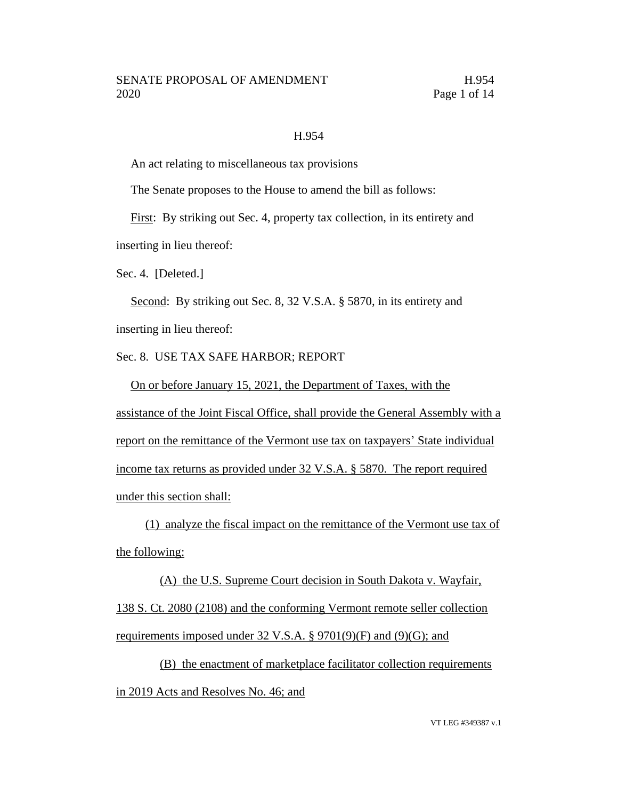### H.954

An act relating to miscellaneous tax provisions

The Senate proposes to the House to amend the bill as follows:

First: By striking out Sec. 4, property tax collection, in its entirety and inserting in lieu thereof:

Sec. 4. [Deleted.]

Second: By striking out Sec. 8, 32 V.S.A. § 5870, in its entirety and inserting in lieu thereof:

Sec. 8. USE TAX SAFE HARBOR; REPORT

On or before January 15, 2021, the Department of Taxes, with the assistance of the Joint Fiscal Office, shall provide the General Assembly with a report on the remittance of the Vermont use tax on taxpayers' State individual income tax returns as provided under 32 V.S.A. § 5870. The report required under this section shall:

(1) analyze the fiscal impact on the remittance of the Vermont use tax of the following:

(A) the U.S. Supreme Court decision in South Dakota v. Wayfair, 138 S. Ct. 2080 (2108) and the conforming Vermont remote seller collection requirements imposed under 32 V.S.A. § 9701(9)(F) and (9)(G); and

(B) the enactment of marketplace facilitator collection requirements in 2019 Acts and Resolves No. 46; and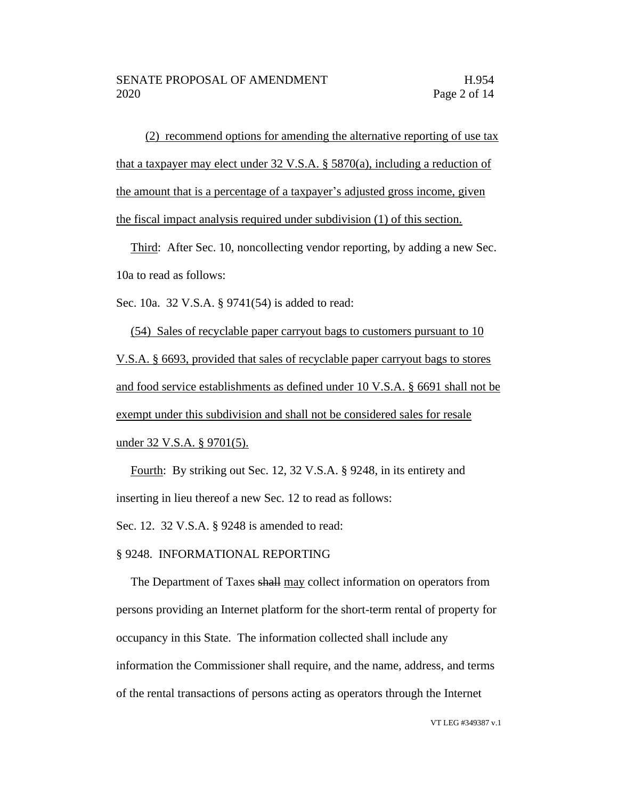(2) recommend options for amending the alternative reporting of use tax that a taxpayer may elect under 32 V.S.A. § 5870(a), including a reduction of the amount that is a percentage of a taxpayer's adjusted gross income, given the fiscal impact analysis required under subdivision (1) of this section.

Third: After Sec. 10, noncollecting vendor reporting, by adding a new Sec. 10a to read as follows:

Sec. 10a. 32 V.S.A. § 9741(54) is added to read:

(54) Sales of recyclable paper carryout bags to customers pursuant to 10 V.S.A. § 6693, provided that sales of recyclable paper carryout bags to stores and food service establishments as defined under 10 V.S.A. § 6691 shall not be exempt under this subdivision and shall not be considered sales for resale under 32 V.S.A. § 9701(5).

Fourth: By striking out Sec. 12, 32 V.S.A. § 9248, in its entirety and inserting in lieu thereof a new Sec. 12 to read as follows:

Sec. 12. 32 V.S.A. § 9248 is amended to read:

### § 9248. INFORMATIONAL REPORTING

The Department of Taxes shall may collect information on operators from persons providing an Internet platform for the short-term rental of property for occupancy in this State. The information collected shall include any information the Commissioner shall require, and the name, address, and terms of the rental transactions of persons acting as operators through the Internet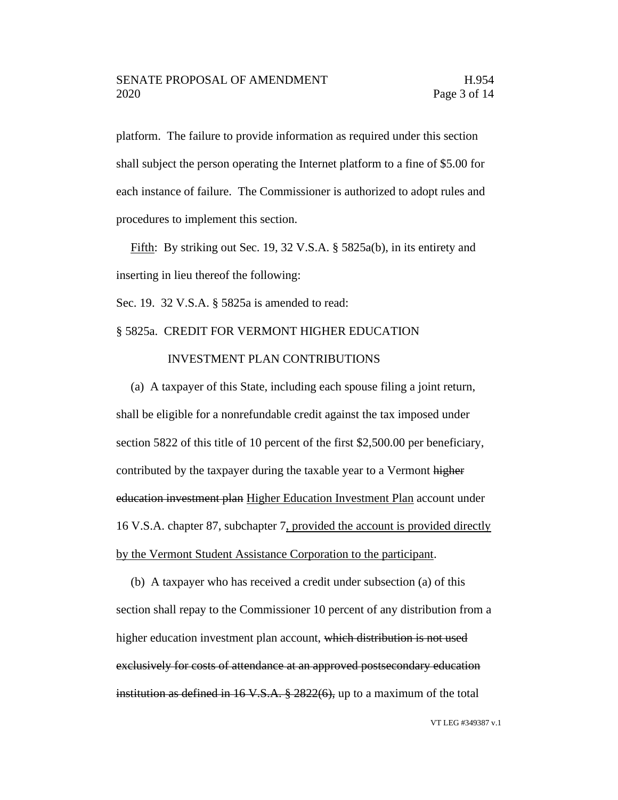platform. The failure to provide information as required under this section shall subject the person operating the Internet platform to a fine of \$5.00 for each instance of failure. The Commissioner is authorized to adopt rules and procedures to implement this section.

Fifth: By striking out Sec. 19, 32 V.S.A. § 5825a(b), in its entirety and inserting in lieu thereof the following:

Sec. 19. 32 V.S.A. § 5825a is amended to read:

### § 5825a. CREDIT FOR VERMONT HIGHER EDUCATION

### INVESTMENT PLAN CONTRIBUTIONS

(a) A taxpayer of this State, including each spouse filing a joint return, shall be eligible for a nonrefundable credit against the tax imposed under section 5822 of this title of 10 percent of the first \$2,500.00 per beneficiary, contributed by the taxpayer during the taxable year to a Vermont higher education investment plan Higher Education Investment Plan account under 16 V.S.A. chapter 87, subchapter 7, provided the account is provided directly by the Vermont Student Assistance Corporation to the participant.

(b) A taxpayer who has received a credit under subsection (a) of this section shall repay to the Commissioner 10 percent of any distribution from a higher education investment plan account, which distribution is not used exclusively for costs of attendance at an approved postsecondary education institution as defined in 16 V.S.A. § 2822(6), up to a maximum of the total

VT LEG #349387 v.1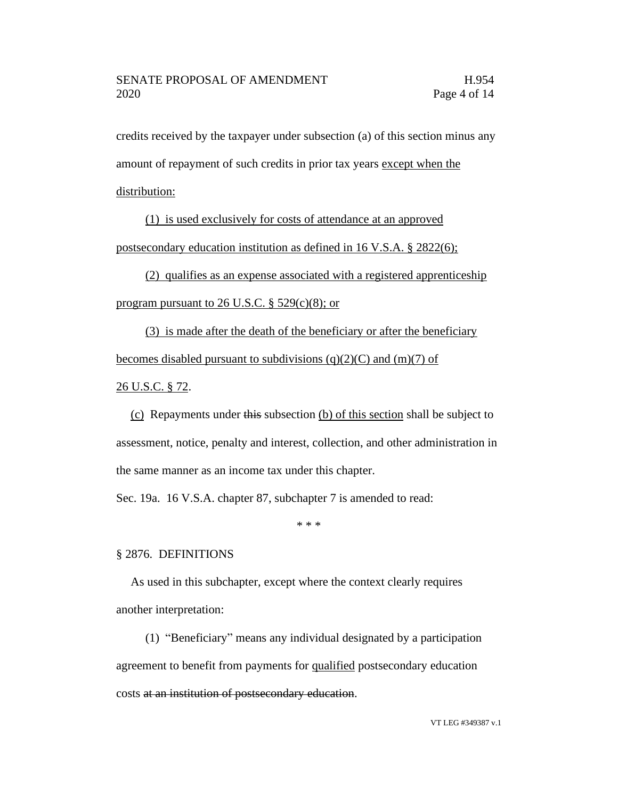credits received by the taxpayer under subsection (a) of this section minus any amount of repayment of such credits in prior tax years except when the distribution:

(1) is used exclusively for costs of attendance at an approved postsecondary education institution as defined in 16 V.S.A. § 2822(6);

(2) qualifies as an expense associated with a registered apprenticeship program pursuant to 26 U.S.C.  $\S$  529(c)(8); or

(3) is made after the death of the beneficiary or after the beneficiary becomes disabled pursuant to subdivisions  $(q)(2)(C)$  and  $(m)(7)$  of

26 U.S.C. § 72.

(c) Repayments under this subsection (b) of this section shall be subject to assessment, notice, penalty and interest, collection, and other administration in the same manner as an income tax under this chapter.

Sec. 19a. 16 V.S.A. chapter 87, subchapter 7 is amended to read:

\* \* \*

### § 2876. DEFINITIONS

As used in this subchapter, except where the context clearly requires another interpretation:

(1) "Beneficiary" means any individual designated by a participation agreement to benefit from payments for qualified postsecondary education costs at an institution of postsecondary education.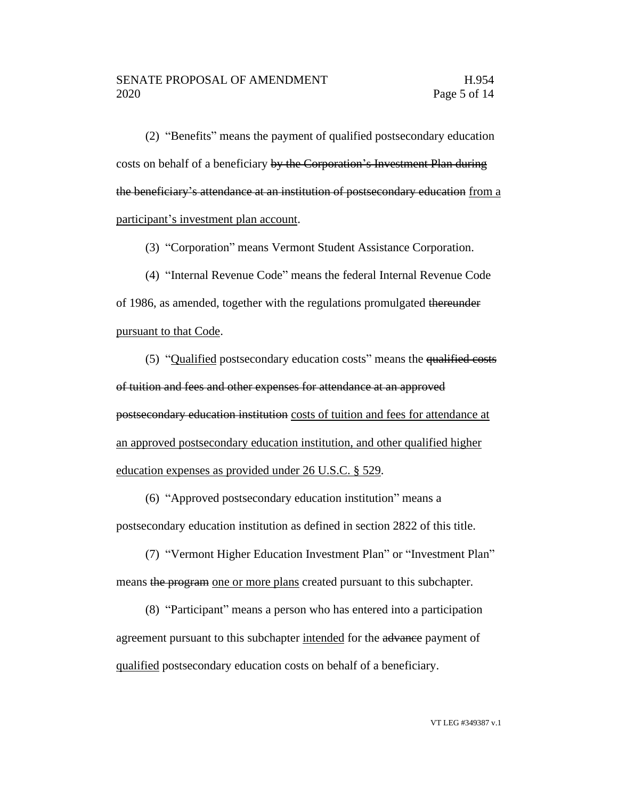(2) "Benefits" means the payment of qualified postsecondary education costs on behalf of a beneficiary by the Corporation's Investment Plan during the beneficiary's attendance at an institution of postsecondary education from a participant's investment plan account.

(3) "Corporation" means Vermont Student Assistance Corporation.

(4) "Internal Revenue Code" means the federal Internal Revenue Code of 1986, as amended, together with the regulations promulgated thereunder pursuant to that Code.

(5) "Qualified postsecondary education costs" means the qualified costs of tuition and fees and other expenses for attendance at an approved postsecondary education institution costs of tuition and fees for attendance at an approved postsecondary education institution, and other qualified higher education expenses as provided under 26 U.S.C. § 529.

(6) "Approved postsecondary education institution" means a postsecondary education institution as defined in section 2822 of this title.

(7) "Vermont Higher Education Investment Plan" or "Investment Plan" means the program one or more plans created pursuant to this subchapter.

(8) "Participant" means a person who has entered into a participation agreement pursuant to this subchapter intended for the advance payment of qualified postsecondary education costs on behalf of a beneficiary.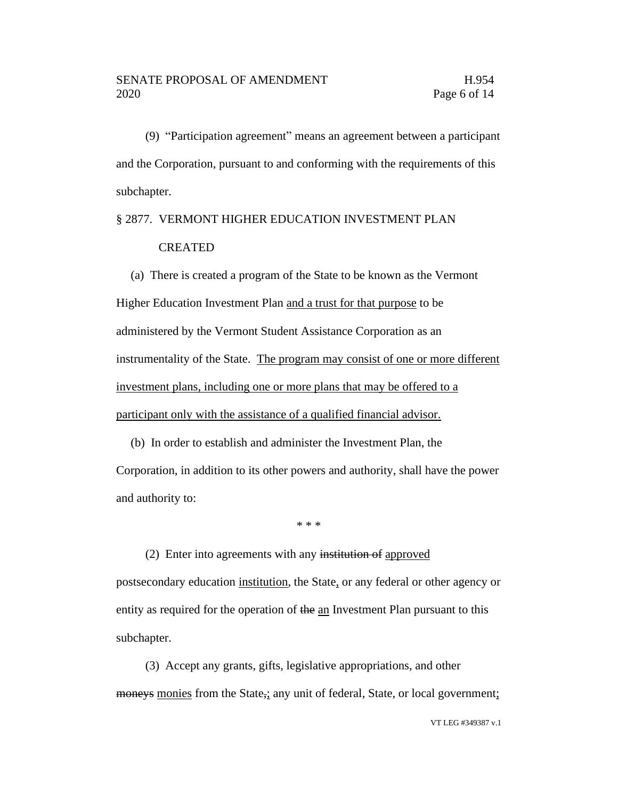(9) "Participation agreement" means an agreement between a participant and the Corporation, pursuant to and conforming with the requirements of this subchapter.

## § 2877. VERMONT HIGHER EDUCATION INVESTMENT PLAN

### CREATED

(a) There is created a program of the State to be known as the Vermont Higher Education Investment Plan and a trust for that purpose to be administered by the Vermont Student Assistance Corporation as an instrumentality of the State. The program may consist of one or more different investment plans, including one or more plans that may be offered to a participant only with the assistance of a qualified financial advisor.

(b) In order to establish and administer the Investment Plan, the Corporation, in addition to its other powers and authority, shall have the power and authority to:

\* \* \*

(2) Enter into agreements with any institution of approved postsecondary education institution, the State, or any federal or other agency or entity as required for the operation of the an Investment Plan pursuant to this subchapter.

(3) Accept any grants, gifts, legislative appropriations, and other moneys monies from the State,; any unit of federal, State, or local government;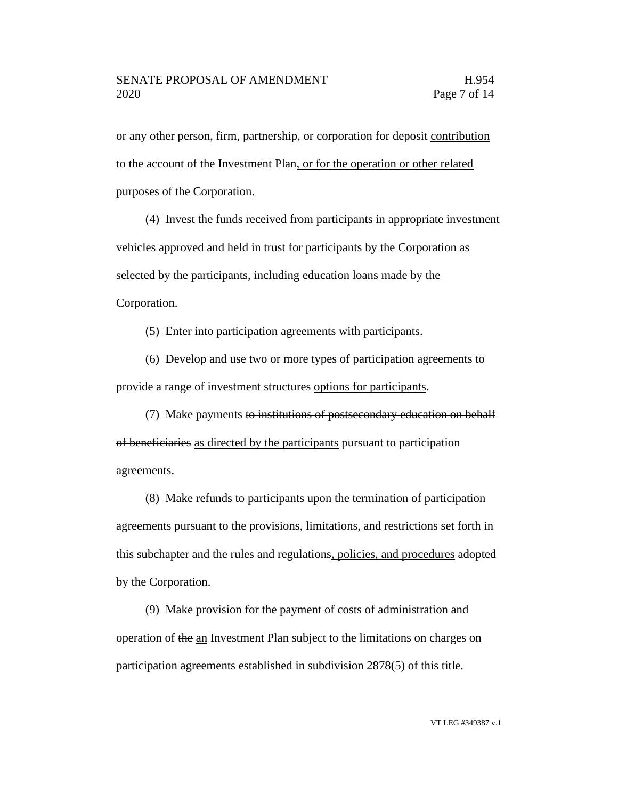or any other person, firm, partnership, or corporation for deposit contribution to the account of the Investment Plan, or for the operation or other related purposes of the Corporation.

(4) Invest the funds received from participants in appropriate investment vehicles approved and held in trust for participants by the Corporation as selected by the participants, including education loans made by the Corporation.

(5) Enter into participation agreements with participants.

(6) Develop and use two or more types of participation agreements to provide a range of investment structures options for participants.

(7) Make payments to institutions of postsecondary education on behalf of beneficiaries as directed by the participants pursuant to participation agreements.

(8) Make refunds to participants upon the termination of participation agreements pursuant to the provisions, limitations, and restrictions set forth in this subchapter and the rules and regulations, policies, and procedures adopted by the Corporation.

(9) Make provision for the payment of costs of administration and operation of the an Investment Plan subject to the limitations on charges on participation agreements established in subdivision 2878(5) of this title.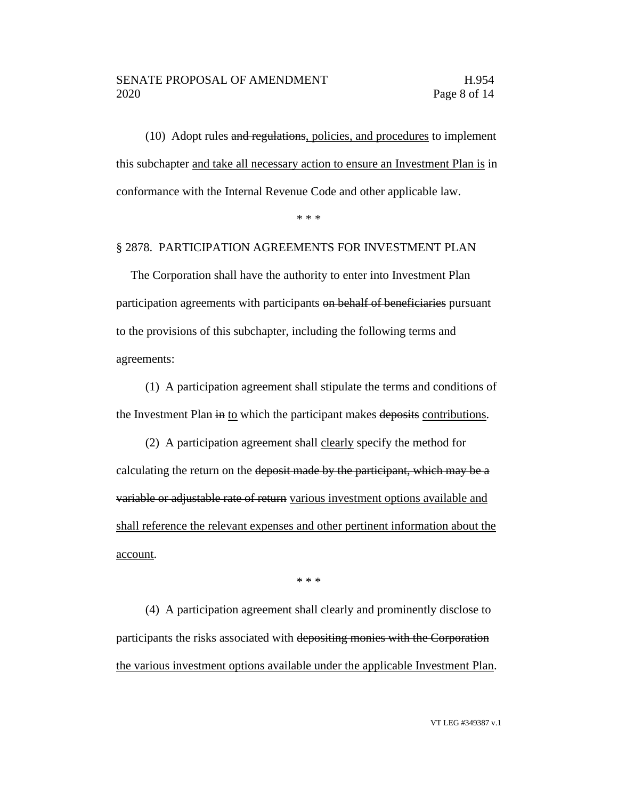(10) Adopt rules and regulations, policies, and procedures to implement this subchapter and take all necessary action to ensure an Investment Plan is in conformance with the Internal Revenue Code and other applicable law.

\* \* \*

### § 2878. PARTICIPATION AGREEMENTS FOR INVESTMENT PLAN

The Corporation shall have the authority to enter into Investment Plan participation agreements with participants on behalf of beneficiaries pursuant to the provisions of this subchapter, including the following terms and agreements:

(1) A participation agreement shall stipulate the terms and conditions of the Investment Plan in to which the participant makes deposits contributions.

(2) A participation agreement shall clearly specify the method for calculating the return on the deposit made by the participant, which may be a variable or adjustable rate of return various investment options available and shall reference the relevant expenses and other pertinent information about the account.

\* \* \*

(4) A participation agreement shall clearly and prominently disclose to participants the risks associated with depositing monies with the Corporation the various investment options available under the applicable Investment Plan.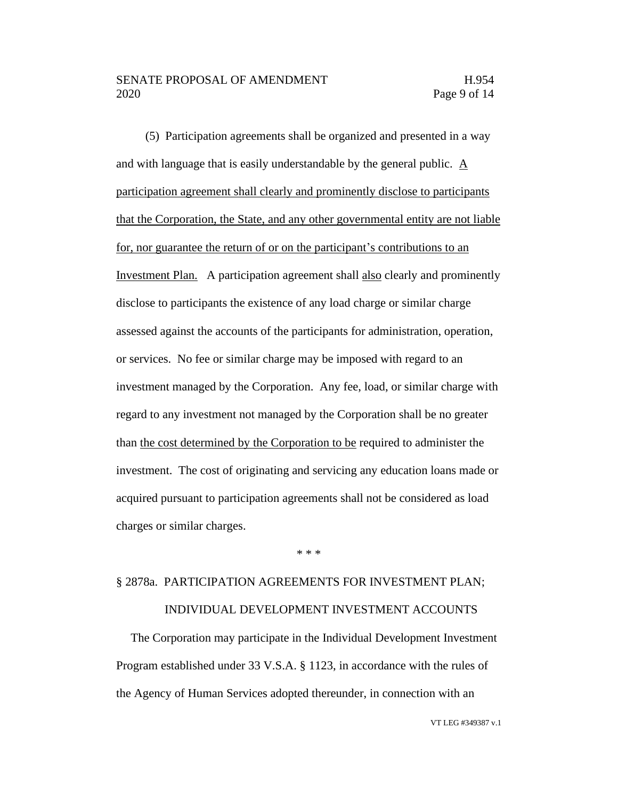(5) Participation agreements shall be organized and presented in a way and with language that is easily understandable by the general public. A participation agreement shall clearly and prominently disclose to participants that the Corporation, the State, and any other governmental entity are not liable for, nor guarantee the return of or on the participant's contributions to an Investment Plan. A participation agreement shall also clearly and prominently disclose to participants the existence of any load charge or similar charge assessed against the accounts of the participants for administration, operation, or services. No fee or similar charge may be imposed with regard to an investment managed by the Corporation. Any fee, load, or similar charge with regard to any investment not managed by the Corporation shall be no greater than the cost determined by the Corporation to be required to administer the investment. The cost of originating and servicing any education loans made or acquired pursuant to participation agreements shall not be considered as load charges or similar charges.

\* \* \*

### § 2878a. PARTICIPATION AGREEMENTS FOR INVESTMENT PLAN; INDIVIDUAL DEVELOPMENT INVESTMENT ACCOUNTS

The Corporation may participate in the Individual Development Investment Program established under 33 V.S.A. § 1123, in accordance with the rules of the Agency of Human Services adopted thereunder, in connection with an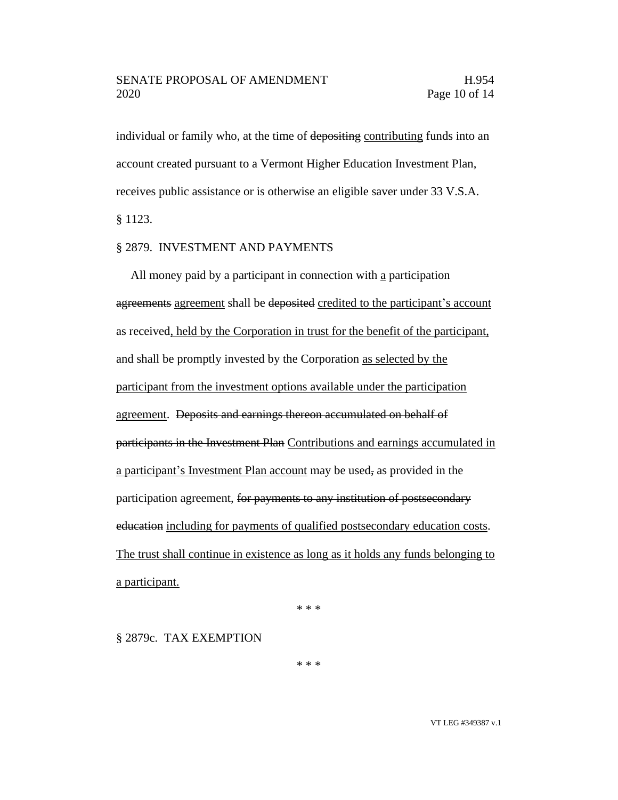individual or family who, at the time of depositing contributing funds into an account created pursuant to a Vermont Higher Education Investment Plan, receives public assistance or is otherwise an eligible saver under 33 V.S.A. § 1123.

### § 2879. INVESTMENT AND PAYMENTS

All money paid by a participant in connection with a participation agreements agreement shall be deposited credited to the participant's account as received, held by the Corporation in trust for the benefit of the participant, and shall be promptly invested by the Corporation as selected by the participant from the investment options available under the participation agreement. Deposits and earnings thereon accumulated on behalf of participants in the Investment Plan Contributions and earnings accumulated in a participant's Investment Plan account may be used, as provided in the participation agreement, for payments to any institution of postsecondary education including for payments of qualified postsecondary education costs. The trust shall continue in existence as long as it holds any funds belonging to a participant.

\* \* \*

§ 2879c. TAX EXEMPTION

\* \* \*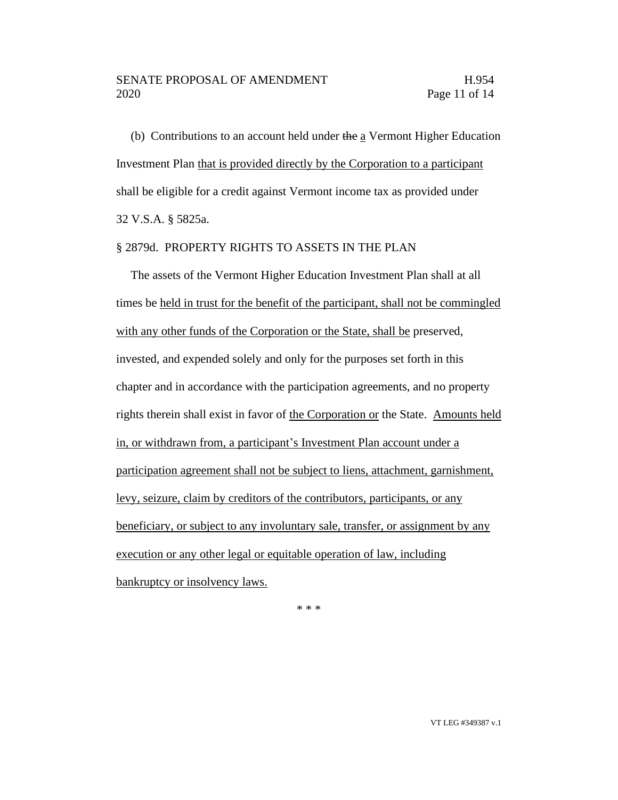### SENATE PROPOSAL OF AMENDMENT FRAMENTIES H.954 2020 Page 11 of 14

(b) Contributions to an account held under the a Vermont Higher Education Investment Plan that is provided directly by the Corporation to a participant shall be eligible for a credit against Vermont income tax as provided under 32 V.S.A. § 5825a.

### § 2879d. PROPERTY RIGHTS TO ASSETS IN THE PLAN

The assets of the Vermont Higher Education Investment Plan shall at all times be held in trust for the benefit of the participant, shall not be commingled with any other funds of the Corporation or the State, shall be preserved, invested, and expended solely and only for the purposes set forth in this chapter and in accordance with the participation agreements, and no property rights therein shall exist in favor of the Corporation or the State. Amounts held in, or withdrawn from, a participant's Investment Plan account under a participation agreement shall not be subject to liens, attachment, garnishment, levy, seizure, claim by creditors of the contributors, participants, or any beneficiary, or subject to any involuntary sale, transfer, or assignment by any execution or any other legal or equitable operation of law, including bankruptcy or insolvency laws.

\* \* \*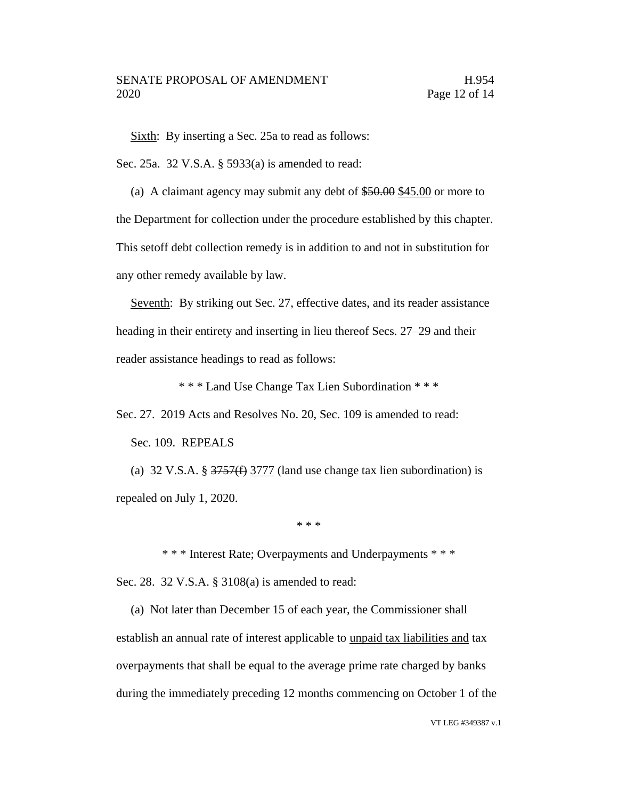Sixth: By inserting a Sec. 25a to read as follows:

Sec. 25a. 32 V.S.A. § 5933(a) is amended to read:

(a) A claimant agency may submit any debt of \$50.00 \$45.00 or more to the Department for collection under the procedure established by this chapter. This setoff debt collection remedy is in addition to and not in substitution for any other remedy available by law.

Seventh: By striking out Sec. 27, effective dates, and its reader assistance heading in their entirety and inserting in lieu thereof Secs. 27–29 and their reader assistance headings to read as follows:

\* \* \* Land Use Change Tax Lien Subordination \* \* \*

Sec. 27. 2019 Acts and Resolves No. 20, Sec. 109 is amended to read:

Sec. 109. REPEALS

(a) 32 V.S.A. § 3757(f) 3777 (land use change tax lien subordination) is repealed on July 1, 2020.

\* \* \*

\* \* \* Interest Rate; Overpayments and Underpayments \* \* \*

Sec. 28. 32 V.S.A. § 3108(a) is amended to read:

(a) Not later than December 15 of each year, the Commissioner shall establish an annual rate of interest applicable to unpaid tax liabilities and tax overpayments that shall be equal to the average prime rate charged by banks during the immediately preceding 12 months commencing on October 1 of the

VT LEG #349387 v.1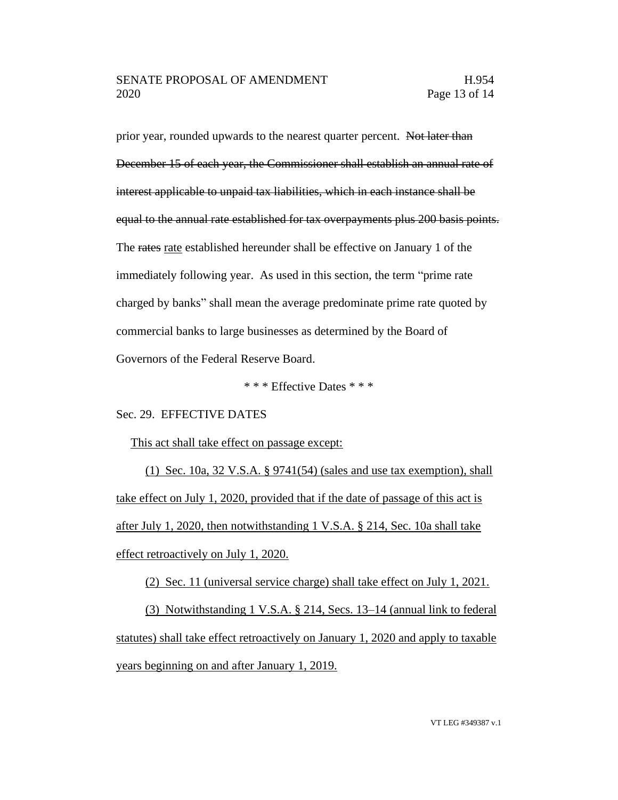prior year, rounded upwards to the nearest quarter percent. Not later than December 15 of each year, the Commissioner shall establish an annual rate of interest applicable to unpaid tax liabilities, which in each instance shall be equal to the annual rate established for tax overpayments plus 200 basis points. The rates rate established hereunder shall be effective on January 1 of the immediately following year. As used in this section, the term "prime rate charged by banks" shall mean the average predominate prime rate quoted by commercial banks to large businesses as determined by the Board of Governors of the Federal Reserve Board.

\* \* \* Effective Dates \* \* \*

### Sec. 29. EFFECTIVE DATES

### This act shall take effect on passage except:

(1) Sec. 10a, 32 V.S.A. § 9741(54) (sales and use tax exemption), shall take effect on July 1, 2020, provided that if the date of passage of this act is after July 1, 2020, then notwithstanding 1 V.S.A. § 214, Sec. 10a shall take effect retroactively on July 1, 2020.

(2) Sec. 11 (universal service charge) shall take effect on July 1, 2021.

(3) Notwithstanding 1 V.S.A. § 214, Secs. 13–14 (annual link to federal statutes) shall take effect retroactively on January 1, 2020 and apply to taxable years beginning on and after January 1, 2019.